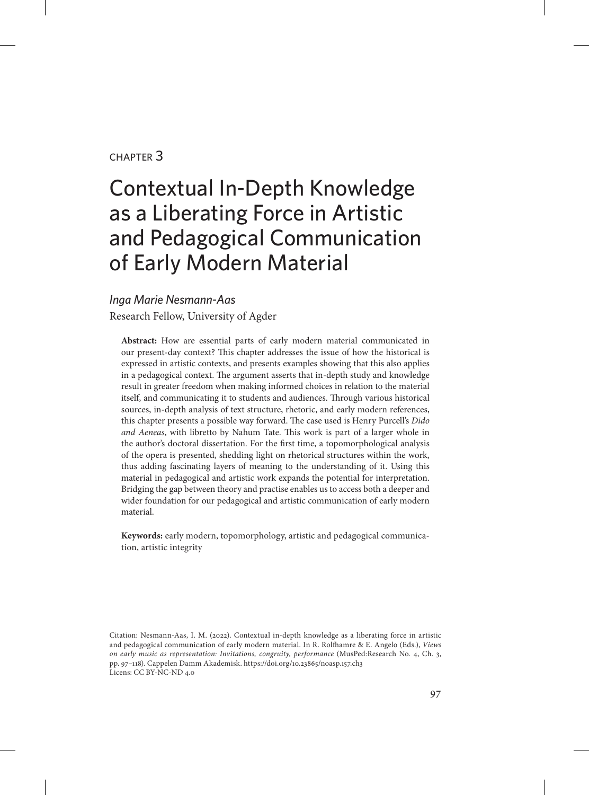#### chapter 3

# Contextual In-Depth Knowledge as a Liberating Force in Artistic and Pedagogical Communication of Early Modern Material

#### *Inga Marie Nesmann-Aas*

Research Fellow, University of Agder

**Abstract:** How are essential parts of early modern material communicated in our present-day context? This chapter addresses the issue of how the historical is expressed in artistic contexts, and presents examples showing that this also applies in a pedagogical context. The argument asserts that in-depth study and knowledge result in greater freedom when making informed choices in relation to the material itself, and communicating it to students and audiences. Through various historical sources, in-depth analysis of text structure, rhetoric, and early modern references, this chapter presents a possible way forward. The case used is Henry Purcell's *Dido and Aeneas*, with libretto by Nahum Tate. This work is part of a larger whole in the author's doctoral dissertation. For the first time, a topomorphological analysis of the opera is presented, shedding light on rhetorical structures within the work, thus adding fascinating layers of meaning to the understanding of it. Using this material in pedagogical and artistic work expands the potential for interpretation. Bridging the gap between theory and practise enables us to access both a deeper and wider foundation for our pedagogical and artistic communication of early modern material.

**Keywords:** early modern, topomorphology, artistic and pedagogical communication, artistic integrity

Citation: Nesmann-Aas, I. M. (2022). Contextual in-depth knowledge as a liberating force in artistic and pedagogical communication of early modern material. In R. Rolfhamre & E. Angelo (Eds.), *Views on early music as representation: Invitations, congruity, performance* (MusPed:Research No. 4, Ch. 3, pp. 97–118). Cappelen Damm Akademisk. https://doi.org/10.23865/noasp.157.ch3 Licens: CC BY-NC-ND 4.0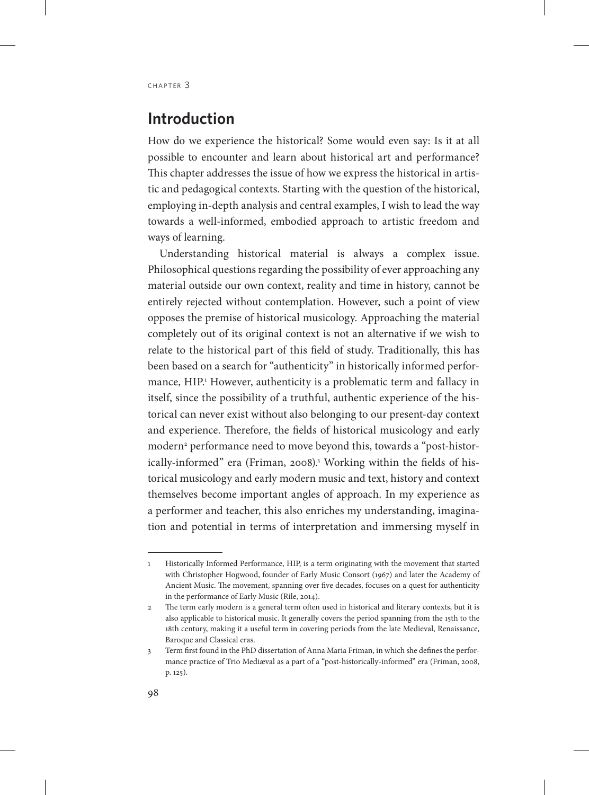#### **Introduction**

How do we experience the historical? Some would even say: Is it at all possible to encounter and learn about historical art and performance? This chapter addresses the issue of how we express the historical in artistic and pedagogical contexts. Starting with the question of the historical, employing in-depth analysis and central examples, I wish to lead the way towards a well-informed, embodied approach to artistic freedom and ways of learning.

Understanding historical material is always a complex issue. Philosophical questions regarding the possibility of ever approaching any material outside our own context, reality and time in history, cannot be entirely rejected without contemplation. However, such a point of view opposes the premise of historical musicology. Approaching the material completely out of its original context is not an alternative if we wish to relate to the historical part of this field of study. Traditionally, this has been based on a search for "authenticity" in historically informed performance, HIP.<sup>1</sup> However, authenticity is a problematic term and fallacy in itself, since the possibility of a truthful, authentic experience of the historical can never exist without also belonging to our present-day context and experience. Therefore, the fields of historical musicology and early modern2 performance need to move beyond this, towards a "post-historically-informed" era (Friman, 2008).3 Working within the fields of historical musicology and early modern music and text, history and context themselves become important angles of approach. In my experience as a performer and teacher, this also enriches my understanding, imagination and potential in terms of interpretation and immersing myself in

<sup>1</sup> Historically Informed Performance, HIP, is a term originating with the movement that started with Christopher Hogwood, founder of Early Music Consort (1967) and later the Academy of Ancient Music. The movement, spanning over five decades, focuses on a quest for authenticity in the performance of Early Music (Rile, 2014).

<sup>2</sup> The term early modern is a general term often used in historical and literary contexts, but it is also applicable to historical music. It generally covers the period spanning from the 15th to the 18th century, making it a useful term in covering periods from the late Medieval, Renaissance, Baroque and Classical eras.

<sup>3</sup> Term first found in the PhD dissertation of Anna Maria Friman, in which she defines the performance practice of Trio Mediæval as a part of a "post-historically-informed" era (Friman, 2008, p. 125).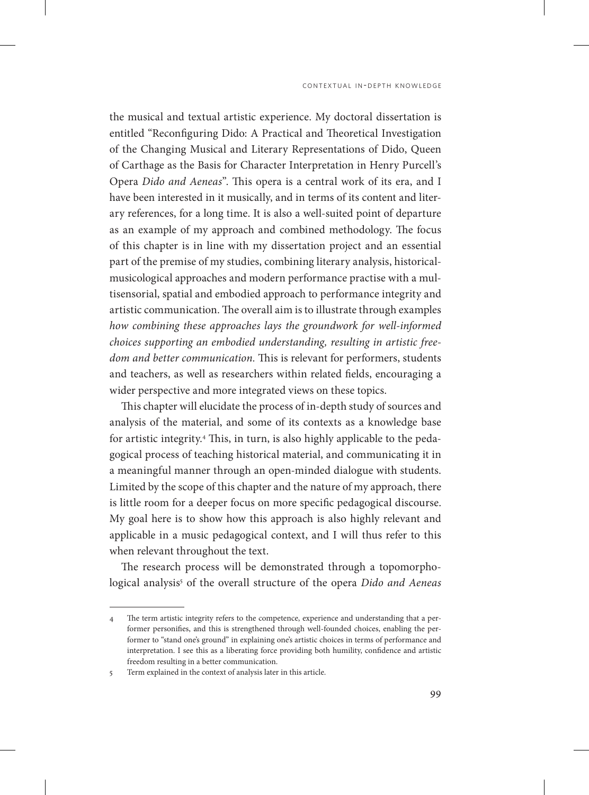the musical and textual artistic experience. My doctoral dissertation is entitled "Reconfiguring Dido: A Practical and Theoretical Investigation of the Changing Musical and Literary Representations of Dido, Queen of Carthage as the Basis for Character Interpretation in Henry Purcell's Opera *Dido and Aeneas*". This opera is a central work of its era, and I have been interested in it musically, and in terms of its content and literary references, for a long time. It is also a well-suited point of departure as an example of my approach and combined methodology. The focus of this chapter is in line with my dissertation project and an essential part of the premise of my studies, combining literary analysis, historicalmusicological approaches and modern performance practise with a multisensorial, spatial and embodied approach to performance integrity and artistic communication. The overall aim is to illustrate through examples *how combining these approaches lays the groundwork for well-informed choices supporting an embodied understanding, resulting in artistic freedom and better communication.* This is relevant for performers, students and teachers, as well as researchers within related fields, encouraging a wider perspective and more integrated views on these topics.

This chapter will elucidate the process of in-depth study of sources and analysis of the material, and some of its contexts as a knowledge base for artistic integrity.4 This, in turn, is also highly applicable to the pedagogical process of teaching historical material, and communicating it in a meaningful manner through an open-minded dialogue with students. Limited by the scope of this chapter and the nature of my approach, there is little room for a deeper focus on more specific pedagogical discourse. My goal here is to show how this approach is also highly relevant and applicable in a music pedagogical context, and I will thus refer to this when relevant throughout the text.

The research process will be demonstrated through a topomorphological analysis<sup>5</sup> of the overall structure of the opera *Dido and Aeneas* 

<sup>4</sup> The term artistic integrity refers to the competence, experience and understanding that a performer personifies, and this is strengthened through well-founded choices, enabling the performer to "stand one's ground" in explaining one's artistic choices in terms of performance and interpretation. I see this as a liberating force providing both humility, confidence and artistic freedom resulting in a better communication.

<sup>5</sup> Term explained in the context of analysis later in this article.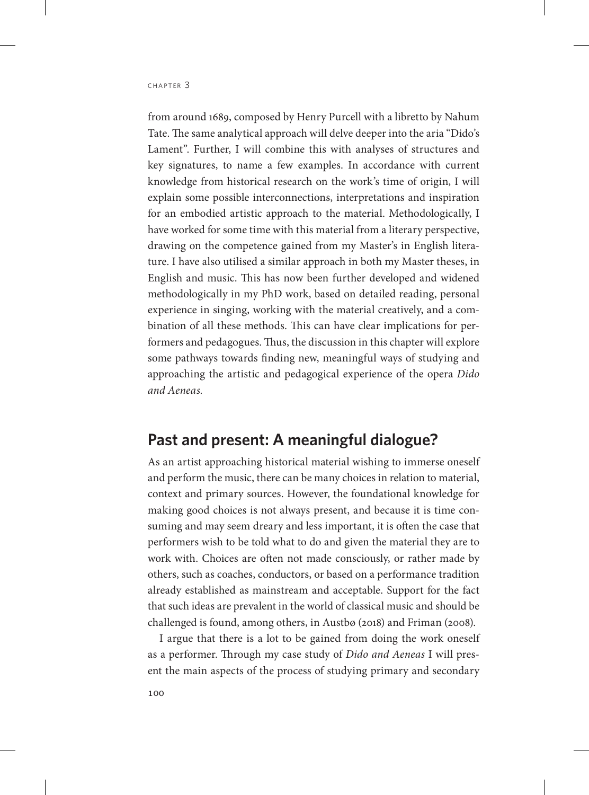from around 1689, composed by Henry Purcell with a libretto by Nahum Tate. The same analytical approach will delve deeper into the aria "Dido's Lament". Further, I will combine this with analyses of structures and key signatures, to name a few examples. In accordance with current knowledge from historical research on the work's time of origin, I will explain some possible interconnections, interpretations and inspiration for an embodied artistic approach to the material. Methodologically, I have worked for some time with this material from a literary perspective, drawing on the competence gained from my Master's in English literature. I have also utilised a similar approach in both my Master theses, in English and music. This has now been further developed and widened methodologically in my PhD work, based on detailed reading, personal experience in singing, working with the material creatively, and a combination of all these methods. This can have clear implications for performers and pedagogues. Thus, the discussion in this chapter will explore some pathways towards finding new, meaningful ways of studying and approaching the artistic and pedagogical experience of the opera *Dido and Aeneas.*

#### **Past and present: A meaningful dialogue?**

As an artist approaching historical material wishing to immerse oneself and perform the music, there can be many choices in relation to material, context and primary sources. However, the foundational knowledge for making good choices is not always present, and because it is time consuming and may seem dreary and less important, it is often the case that performers wish to be told what to do and given the material they are to work with. Choices are often not made consciously, or rather made by others, such as coaches, conductors, or based on a performance tradition already established as mainstream and acceptable. Support for the fact that such ideas are prevalent in the world of classical music and should be challenged is found, among others, in Austbø (2018) and Friman (2008).

I argue that there is a lot to be gained from doing the work oneself as a performer. Through my case study of *Dido and Aeneas* I will present the main aspects of the process of studying primary and secondary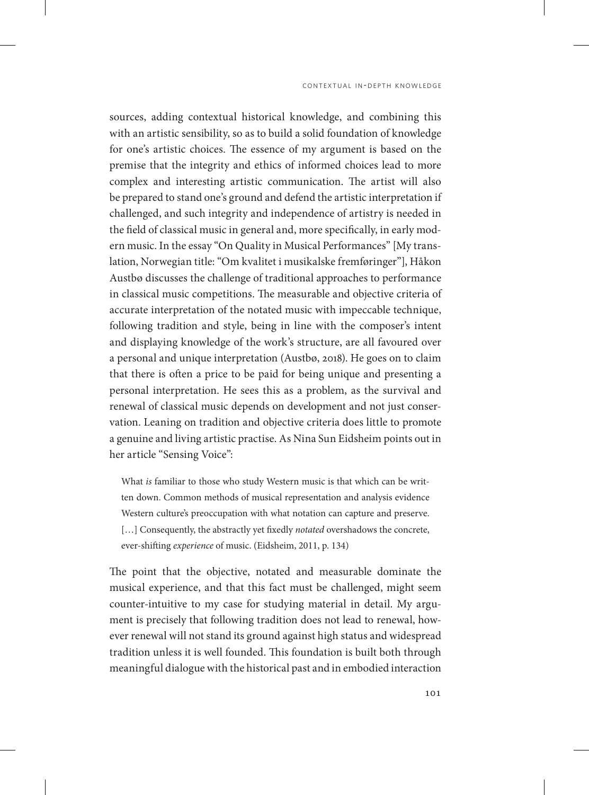sources, adding contextual historical knowledge, and combining this with an artistic sensibility, so as to build a solid foundation of knowledge for one's artistic choices. The essence of my argument is based on the premise that the integrity and ethics of informed choices lead to more complex and interesting artistic communication. The artist will also be prepared to stand one's ground and defend the artistic interpretation if challenged, and such integrity and independence of artistry is needed in the field of classical music in general and, more specifically, in early modern music. In the essay "On Quality in Musical Performances" [My translation, Norwegian title: "Om kvalitet i musikalske fremføringer"], Håkon Austbø discusses the challenge of traditional approaches to performance in classical music competitions. The measurable and objective criteria of accurate interpretation of the notated music with impeccable technique, following tradition and style, being in line with the composer's intent and displaying knowledge of the work's structure, are all favoured over a personal and unique interpretation (Austbø, 2018). He goes on to claim that there is often a price to be paid for being unique and presenting a personal interpretation. He sees this as a problem, as the survival and renewal of classical music depends on development and not just conservation. Leaning on tradition and objective criteria does little to promote a genuine and living artistic practise. As Nina Sun Eidsheim points out in her article "Sensing Voice":

What *is* familiar to those who study Western music is that which can be written down. Common methods of musical representation and analysis evidence Western culture's preoccupation with what notation can capture and preserve. [...] Consequently, the abstractly yet fixedly *notated* overshadows the concrete, ever-shifting *experience* of music. (Eidsheim, 2011, p. 134)

The point that the objective, notated and measurable dominate the musical experience, and that this fact must be challenged, might seem counter-intuitive to my case for studying material in detail. My argument is precisely that following tradition does not lead to renewal, however renewal will not stand its ground against high status and widespread tradition unless it is well founded. This foundation is built both through meaningful dialogue with the historical past and in embodied interaction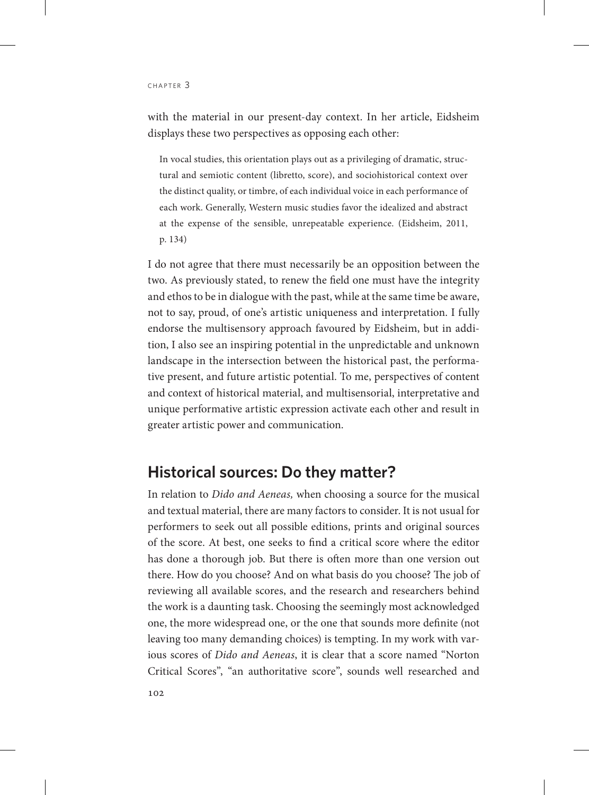with the material in our present-day context. In her article, Eidsheim displays these two perspectives as opposing each other:

In vocal studies, this orientation plays out as a privileging of dramatic, structural and semiotic content (libretto, score), and sociohistorical context over the distinct quality, or timbre, of each individual voice in each performance of each work. Generally, Western music studies favor the idealized and abstract at the expense of the sensible, unrepeatable experience. (Eidsheim, 2011, p. 134)

I do not agree that there must necessarily be an opposition between the two. As previously stated, to renew the field one must have the integrity and ethos to be in dialogue with the past, while at the same time be aware, not to say, proud, of one's artistic uniqueness and interpretation. I fully endorse the multisensory approach favoured by Eidsheim, but in addition, I also see an inspiring potential in the unpredictable and unknown landscape in the intersection between the historical past, the performative present, and future artistic potential. To me, perspectives of content and context of historical material, and multisensorial, interpretative and unique performative artistic expression activate each other and result in greater artistic power and communication.

#### **Historical sources: Do they matter?**

In relation to *Dido and Aeneas,* when choosing a source for the musical and textual material, there are many factors to consider. It is not usual for performers to seek out all possible editions, prints and original sources of the score. At best, one seeks to find a critical score where the editor has done a thorough job. But there is often more than one version out there. How do you choose? And on what basis do you choose? The job of reviewing all available scores, and the research and researchers behind the work is a daunting task. Choosing the seemingly most acknowledged one, the more widespread one, or the one that sounds more definite (not leaving too many demanding choices) is tempting. In my work with various scores of *Dido and Aeneas*, it is clear that a score named "Norton Critical Scores", "an authoritative score", sounds well researched and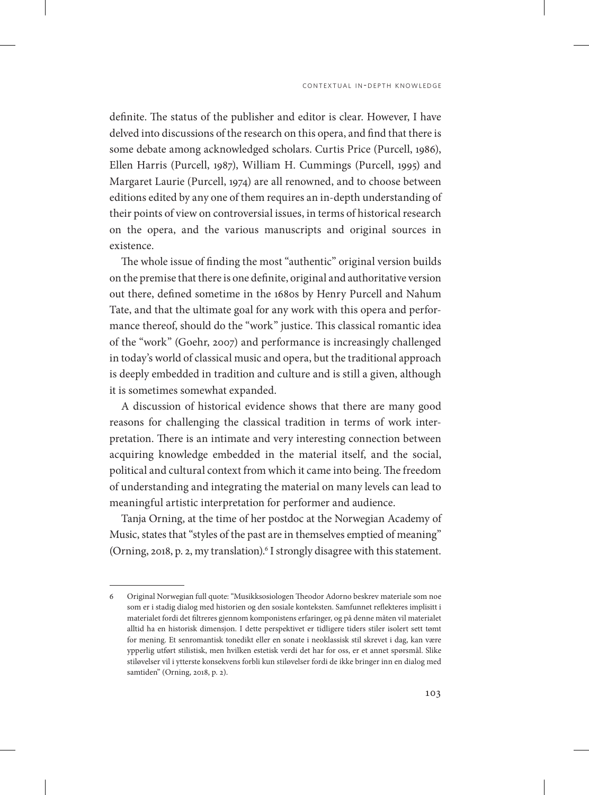definite. The status of the publisher and editor is clear. However, I have delved into discussions of the research on this opera, and find that there is some debate among acknowledged scholars. Curtis Price (Purcell, 1986), Ellen Harris (Purcell, 1987), William H. Cummings (Purcell, 1995) and Margaret Laurie (Purcell, 1974) are all renowned, and to choose between editions edited by any one of them requires an in-depth understanding of their points of view on controversial issues, in terms of historical research on the opera, and the various manuscripts and original sources in existence.

The whole issue of finding the most "authentic" original version builds on the premise that there is one definite, original and authoritative version out there, defined sometime in the 1680s by Henry Purcell and Nahum Tate, and that the ultimate goal for any work with this opera and performance thereof, should do the "work" justice. This classical romantic idea of the "work" (Goehr, 2007) and performance is increasingly challenged in today's world of classical music and opera, but the traditional approach is deeply embedded in tradition and culture and is still a given, although it is sometimes somewhat expanded.

A discussion of historical evidence shows that there are many good reasons for challenging the classical tradition in terms of work interpretation. There is an intimate and very interesting connection between acquiring knowledge embedded in the material itself, and the social, political and cultural context from which it came into being. The freedom of understanding and integrating the material on many levels can lead to meaningful artistic interpretation for performer and audience.

Tanja Orning, at the time of her postdoc at the Norwegian Academy of Music, states that "styles of the past are in themselves emptied of meaning" (Orning, 2018, p. 2, my translation).<sup>6</sup> I strongly disagree with this statement.

<sup>6</sup> Original Norwegian full quote: "Musikksosiologen Theodor Adorno beskrev materiale som noe som er i stadig dialog med historien og den sosiale konteksten. Samfunnet reflekteres implisitt i materialet fordi det filtreres gjennom komponistens erfaringer, og på denne måten vil materialet alltid ha en historisk dimensjon. I dette perspektivet er tidligere tiders stiler isolert sett tømt for mening. Et senromantisk tonedikt eller en sonate i neoklassisk stil skrevet i dag, kan være ypperlig utført stilistisk, men hvilken estetisk verdi det har for oss, er et annet spørsmål. Slike stiløvelser vil i ytterste konsekvens forbli kun stiløvelser fordi de ikke bringer inn en dialog med samtiden" (Orning, 2018, p. 2).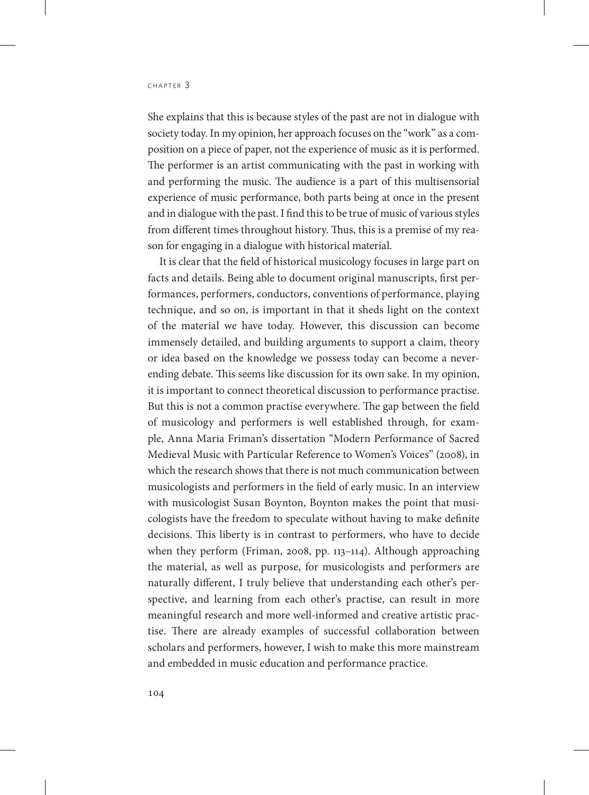She explains that this is because styles of the past are not in dialogue with society today. In my opinion, her approach focuses on the "work" as a composition on a piece of paper, not the experience of music as it is performed. The performer is an artist communicating with the past in working with and performing the music. The audience is a part of this multisensorial experience of music performance, both parts being at once in the present and in dialogue with the past. I find this to be true of music of various styles from different times throughout history. Thus, this is a premise of my reason for engaging in a dialogue with historical material.

It is clear that the field of historical musicology focuses in large part on facts and details. Being able to document original manuscripts, first performances, performers, conductors, conventions of performance, playing technique, and so on, is important in that it sheds light on the context of the material we have today. However, this discussion can become immensely detailed, and building arguments to support a claim, theory or idea based on the knowledge we possess today can become a neverending debate. This seems like discussion for its own sake. In my opinion, it is important to connect theoretical discussion to performance practise. But this is not a common practise everywhere. The gap between the field of musicology and performers is well established through, for example, Anna Maria Friman's dissertation "Modern Performance of Sacred Medieval Music with Particular Reference to Women's Voices" (2008), in which the research shows that there is not much communication between musicologists and performers in the field of early music. In an interview with musicologist Susan Boynton, Boynton makes the point that musicologists have the freedom to speculate without having to make definite decisions. This liberty is in contrast to performers, who have to decide when they perform (Friman, 2008, pp. 113–114). Although approaching the material, as well as purpose, for musicologists and performers are naturally different, I truly believe that understanding each other's perspective, and learning from each other's practise, can result in more meaningful research and more well-informed and creative artistic practise. There are already examples of successful collaboration between scholars and performers, however, I wish to make this more mainstream and embedded in music education and performance practice.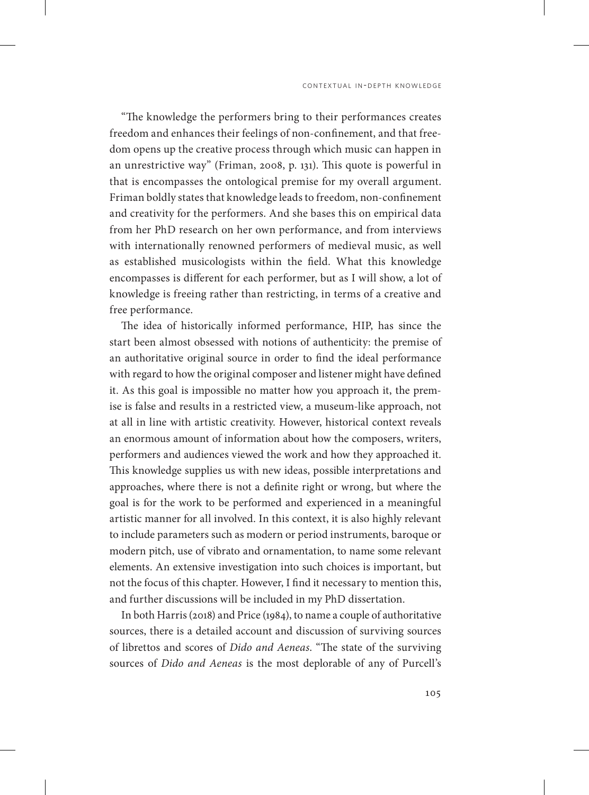"The knowledge the performers bring to their performances creates freedom and enhances their feelings of non-confinement, and that freedom opens up the creative process through which music can happen in an unrestrictive way" (Friman, 2008, p. 131). This quote is powerful in that is encompasses the ontological premise for my overall argument. Friman boldly states that knowledge leads to freedom, non-confinement and creativity for the performers. And she bases this on empirical data from her PhD research on her own performance, and from interviews with internationally renowned performers of medieval music, as well as established musicologists within the field. What this knowledge encompasses is different for each performer, but as I will show, a lot of knowledge is freeing rather than restricting, in terms of a creative and free performance.

The idea of historically informed performance, HIP, has since the start been almost obsessed with notions of authenticity: the premise of an authoritative original source in order to find the ideal performance with regard to how the original composer and listener might have defined it. As this goal is impossible no matter how you approach it, the premise is false and results in a restricted view, a museum-like approach, not at all in line with artistic creativity. However, historical context reveals an enormous amount of information about how the composers, writers, performers and audiences viewed the work and how they approached it. This knowledge supplies us with new ideas, possible interpretations and approaches, where there is not a definite right or wrong, but where the goal is for the work to be performed and experienced in a meaningful artistic manner for all involved. In this context, it is also highly relevant to include parameters such as modern or period instruments, baroque or modern pitch, use of vibrato and ornamentation, to name some relevant elements. An extensive investigation into such choices is important, but not the focus of this chapter. However, I find it necessary to mention this, and further discussions will be included in my PhD dissertation.

In both Harris (2018) and Price (1984), to name a couple of authoritative sources, there is a detailed account and discussion of surviving sources of librettos and scores of *Dido and Aeneas*. "The state of the surviving sources of *Dido and Aeneas* is the most deplorable of any of Purcell's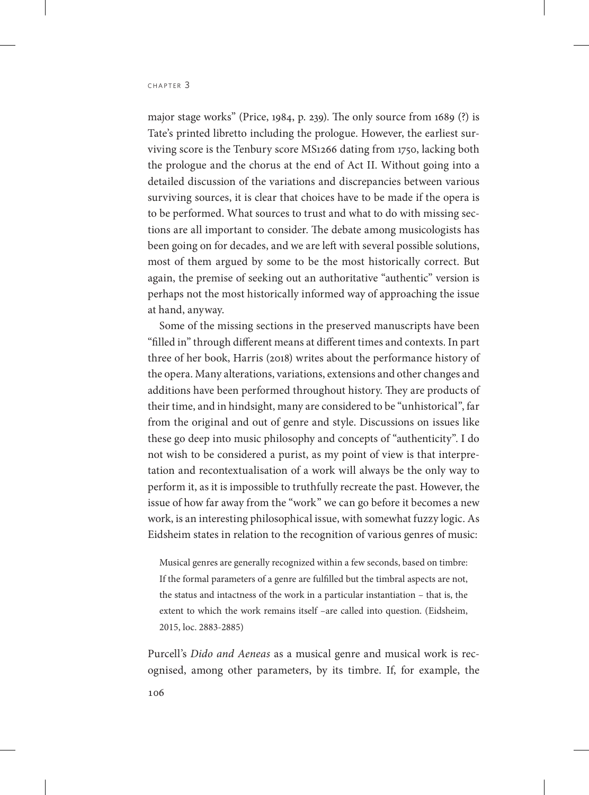major stage works" (Price, 1984, p. 239). The only source from 1689 (?) is Tate's printed libretto including the prologue. However, the earliest surviving score is the Tenbury score MS1266 dating from 1750, lacking both the prologue and the chorus at the end of Act II. Without going into a detailed discussion of the variations and discrepancies between various surviving sources, it is clear that choices have to be made if the opera is to be performed. What sources to trust and what to do with missing sections are all important to consider. The debate among musicologists has been going on for decades, and we are left with several possible solutions, most of them argued by some to be the most historically correct. But again, the premise of seeking out an authoritative "authentic" version is perhaps not the most historically informed way of approaching the issue at hand, anyway.

Some of the missing sections in the preserved manuscripts have been "filled in" through different means at different times and contexts. In part three of her book, Harris (2018) writes about the performance history of the opera. Many alterations, variations, extensions and other changes and additions have been performed throughout history. They are products of their time, and in hindsight, many are considered to be "unhistorical", far from the original and out of genre and style. Discussions on issues like these go deep into music philosophy and concepts of "authenticity". I do not wish to be considered a purist, as my point of view is that interpretation and recontextualisation of a work will always be the only way to perform it, as it is impossible to truthfully recreate the past. However, the issue of how far away from the "work" we can go before it becomes a new work, is an interesting philosophical issue, with somewhat fuzzy logic. As Eidsheim states in relation to the recognition of various genres of music:

Musical genres are generally recognized within a few seconds, based on timbre: If the formal parameters of a genre are fulfilled but the timbral aspects are not, the status and intactness of the work in a particular instantiation – that is, the extent to which the work remains itself –are called into question. (Eidsheim, 2015, loc. 2883-2885)

Purcell's *Dido and Aeneas* as a musical genre and musical work is recognised, among other parameters, by its timbre. If, for example, the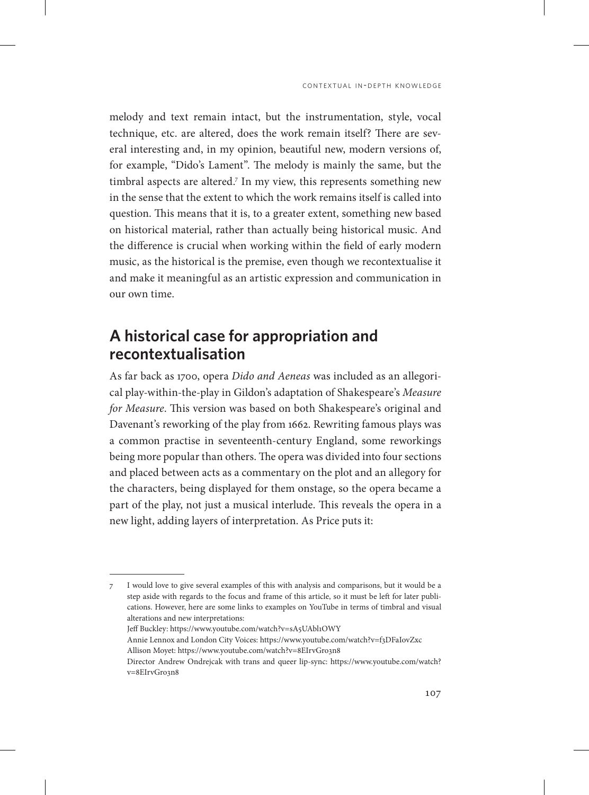melody and text remain intact, but the instrumentation, style, vocal technique, etc. are altered, does the work remain itself? There are several interesting and, in my opinion, beautiful new, modern versions of, for example, "Dido's Lament". The melody is mainly the same, but the timbral aspects are altered.7 In my view, this represents something new in the sense that the extent to which the work remains itself is called into question. This means that it is, to a greater extent, something new based on historical material, rather than actually being historical music. And the difference is crucial when working within the field of early modern music, as the historical is the premise, even though we recontextualise it and make it meaningful as an artistic expression and communication in our own time.

#### **A historical case for appropriation and recontextualisation**

As far back as 1700, opera *Dido and Aeneas* was included as an allegorical play-within-the-play in Gildon's adaptation of Shakespeare's *Measure for Measure*. This version was based on both Shakespeare's original and Davenant's reworking of the play from 1662. Rewriting famous plays was a common practise in seventeenth-century England, some reworkings being more popular than others. The opera was divided into four sections and placed between acts as a commentary on the plot and an allegory for the characters, being displayed for them onstage, so the opera became a part of the play, not just a musical interlude. This reveals the opera in a new light, adding layers of interpretation. As Price puts it:

7 I would love to give several examples of this with analysis and comparisons, but it would be a step aside with regards to the focus and frame of this article, so it must be left for later publications. However, here are some links to examples on YouTube in terms of timbral and visual alterations and new interpretations: Jeff Buckley: https://www.youtube.com/watch?v=sA5UAbl1OWY Annie Lennox and London City Voices: https://www.youtube.com/watch?v=f3DFaIovZxc Allison Moyet: https://www.youtube.com/watch?v=8EIrvGro3n8 Director Andrew Ondrejcak with trans and queer lip-sync: [https://www.youtube.com/watch?](https://www.youtube.com/watch?v=8EIrvGro3n8) [v=8EIrvGro3n8](https://www.youtube.com/watch?v=8EIrvGro3n8)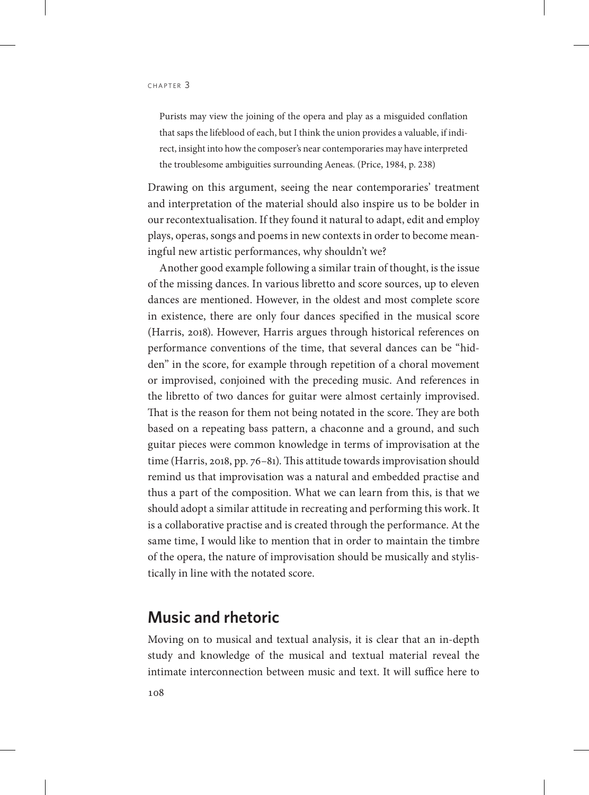Purists may view the joining of the opera and play as a misguided conflation that saps the lifeblood of each, but I think the union provides a valuable, if indirect, insight into how the composer's near contemporaries may have interpreted the troublesome ambiguities surrounding Aeneas. (Price, 1984, p. 238)

Drawing on this argument, seeing the near contemporaries' treatment and interpretation of the material should also inspire us to be bolder in our recontextualisation. If they found it natural to adapt, edit and employ plays, operas, songs and poems in new contexts in order to become meaningful new artistic performances, why shouldn't we?

Another good example following a similar train of thought, is the issue of the missing dances. In various libretto and score sources, up to eleven dances are mentioned. However, in the oldest and most complete score in existence, there are only four dances specified in the musical score (Harris, 2018). However, Harris argues through historical references on performance conventions of the time, that several dances can be "hidden" in the score, for example through repetition of a choral movement or improvised, conjoined with the preceding music. And references in the libretto of two dances for guitar were almost certainly improvised. That is the reason for them not being notated in the score. They are both based on a repeating bass pattern, a chaconne and a ground, and such guitar pieces were common knowledge in terms of improvisation at the time (Harris, 2018, pp. 76–81). This attitude towards improvisation should remind us that improvisation was a natural and embedded practise and thus a part of the composition. What we can learn from this, is that we should adopt a similar attitude in recreating and performing this work. It is a collaborative practise and is created through the performance. At the same time, I would like to mention that in order to maintain the timbre of the opera, the nature of improvisation should be musically and stylistically in line with the notated score.

#### **Music and rhetoric**

Moving on to musical and textual analysis, it is clear that an in-depth study and knowledge of the musical and textual material reveal the intimate interconnection between music and text. It will suffice here to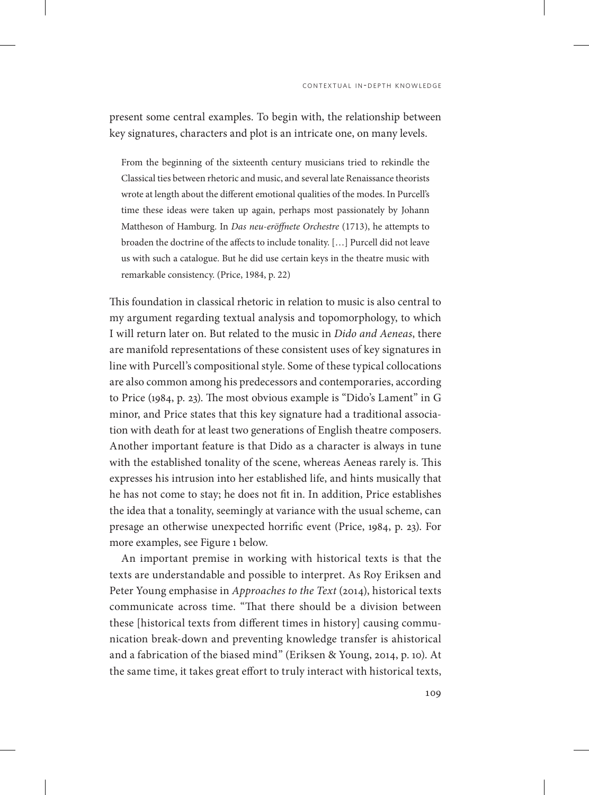present some central examples. To begin with, the relationship between key signatures, characters and plot is an intricate one, on many levels.

From the beginning of the sixteenth century musicians tried to rekindle the Classical ties between rhetoric and music, and several late Renaissance theorists wrote at length about the different emotional qualities of the modes. In Purcell's time these ideas were taken up again, perhaps most passionately by Johann Mattheson of Hamburg. In *Das neu-eröffnete Orchestre* (1713), he attempts to broaden the doctrine of the affects to include tonality. […] Purcell did not leave us with such a catalogue. But he did use certain keys in the theatre music with remarkable consistency. (Price, 1984, p. 22)

This foundation in classical rhetoric in relation to music is also central to my argument regarding textual analysis and topomorphology, to which I will return later on. But related to the music in *Dido and Aeneas*, there are manifold representations of these consistent uses of key signatures in line with Purcell's compositional style. Some of these typical collocations are also common among his predecessors and contemporaries, according to Price (1984, p. 23). The most obvious example is "Dido's Lament" in G minor, and Price states that this key signature had a traditional association with death for at least two generations of English theatre composers. Another important feature is that Dido as a character is always in tune with the established tonality of the scene, whereas Aeneas rarely is. This expresses his intrusion into her established life, and hints musically that he has not come to stay; he does not fit in. In addition, Price establishes the idea that a tonality, seemingly at variance with the usual scheme, can presage an otherwise unexpected horrific event (Price, 1984, p. 23). For more examples, see Figure 1 below.

An important premise in working with historical texts is that the texts are understandable and possible to interpret. As Roy Eriksen and Peter Young emphasise in *Approaches to the Text* (2014), historical texts communicate across time. "That there should be a division between these [historical texts from different times in history] causing communication break-down and preventing knowledge transfer is ahistorical and a fabrication of the biased mind" (Eriksen & Young, 2014, p. 10). At the same time, it takes great effort to truly interact with historical texts,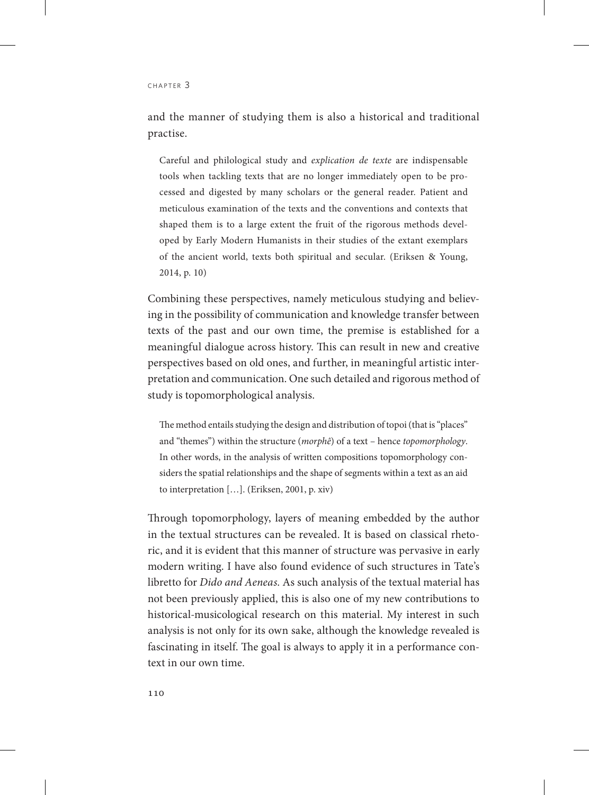and the manner of studying them is also a historical and traditional practise.

Careful and philological study and *explication de texte* are indispensable tools when tackling texts that are no longer immediately open to be processed and digested by many scholars or the general reader. Patient and meticulous examination of the texts and the conventions and contexts that shaped them is to a large extent the fruit of the rigorous methods developed by Early Modern Humanists in their studies of the extant exemplars of the ancient world, texts both spiritual and secular. (Eriksen & Young, 2014, p. 10)

Combining these perspectives, namely meticulous studying and believing in the possibility of communication and knowledge transfer between texts of the past and our own time, the premise is established for a meaningful dialogue across history. This can result in new and creative perspectives based on old ones, and further, in meaningful artistic interpretation and communication. One such detailed and rigorous method of study is topomorphological analysis.

The method entails studying the design and distribution of topoi (that is "places" and "themes") within the structure (*morphê*) of a text – hence *topomorphology*. In other words, in the analysis of written compositions topomorphology considers the spatial relationships and the shape of segments within a text as an aid to interpretation […]. (Eriksen, 2001, p. xiv)

Through topomorphology, layers of meaning embedded by the author in the textual structures can be revealed. It is based on classical rhetoric, and it is evident that this manner of structure was pervasive in early modern writing. I have also found evidence of such structures in Tate's libretto for *Dido and Aeneas*. As such analysis of the textual material has not been previously applied, this is also one of my new contributions to historical-musicological research on this material. My interest in such analysis is not only for its own sake, although the knowledge revealed is fascinating in itself. The goal is always to apply it in a performance context in our own time.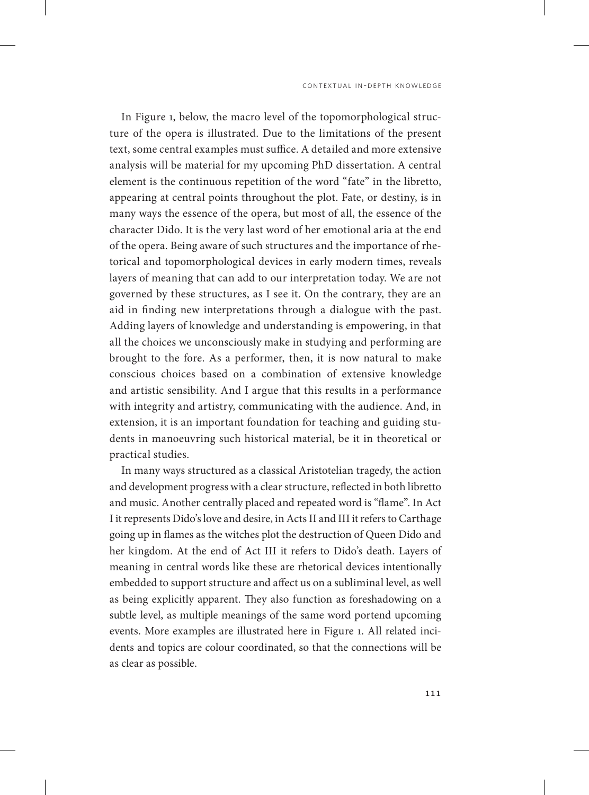In Figure 1, below, the macro level of the topomorphological structure of the opera is illustrated. Due to the limitations of the present text, some central examples must suffice. A detailed and more extensive analysis will be material for my upcoming PhD dissertation. A central element is the continuous repetition of the word "fate" in the libretto, appearing at central points throughout the plot. Fate, or destiny, is in many ways the essence of the opera, but most of all, the essence of the character Dido. It is the very last word of her emotional aria at the end of the opera. Being aware of such structures and the importance of rhetorical and topomorphological devices in early modern times, reveals layers of meaning that can add to our interpretation today. We are not governed by these structures, as I see it. On the contrary, they are an aid in finding new interpretations through a dialogue with the past. Adding layers of knowledge and understanding is empowering, in that all the choices we unconsciously make in studying and performing are brought to the fore. As a performer, then, it is now natural to make conscious choices based on a combination of extensive knowledge and artistic sensibility. And I argue that this results in a performance with integrity and artistry, communicating with the audience. And, in extension, it is an important foundation for teaching and guiding students in manoeuvring such historical material, be it in theoretical or practical studies.

In many ways structured as a classical Aristotelian tragedy, the action and development progress with a clear structure, reflected in both libretto and music. Another centrally placed and repeated word is "flame". In Act I it represents Dido's love and desire, in Acts II and III it refers to Carthage going up in flames as the witches plot the destruction of Queen Dido and her kingdom. At the end of Act III it refers to Dido's death. Layers of meaning in central words like these are rhetorical devices intentionally embedded to support structure and affect us on a subliminal level, as well as being explicitly apparent. They also function as foreshadowing on a subtle level, as multiple meanings of the same word portend upcoming events. More examples are illustrated here in Figure 1. All related incidents and topics are colour coordinated, so that the connections will be as clear as possible.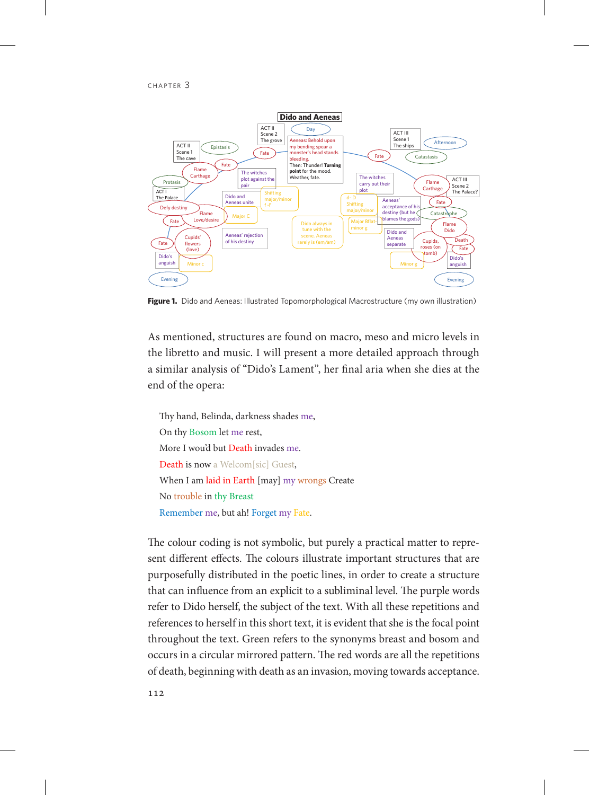

**Figure 1.** Dido and Aeneas: Illustrated Topomorphological Macrostructure (my own illustration)

As mentioned, structures are found on macro, meso and micro levels in the libretto and music. I will present a more detailed approach through a similar analysis of "Dido's Lament", her final aria when she dies at the end of the opera:

Thy hand, Belinda, darkness shades me, On thy Bosom let me rest, More I wou'd but Death invades me. Death is now a Welcom[sic] Guest, When I am laid in Earth [may] my wrongs Create No trouble in thy Breast Remember me, but ah! Forget my Fate.

The colour coding is not symbolic, but purely a practical matter to represent different effects. The colours illustrate important structures that are purposefully distributed in the poetic lines, in order to create a structure that can influence from an explicit to a subliminal level. The purple words refer to Dido herself, the subject of the text. With all these repetitions and references to herself in this short text, it is evident that she is the focal point throughout the text. Green refers to the synonyms breast and bosom and occurs in a circular mirrored pattern. The red words are all the repetitions of death, beginning with death as an invasion, moving towards acceptance.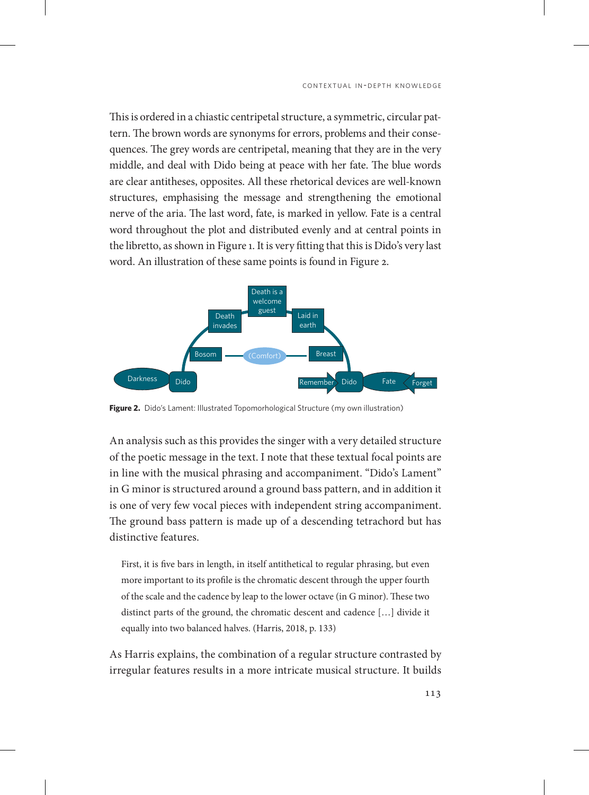This is ordered in a chiastic centripetal structure, a symmetric, circular pattern. The brown words are synonyms for errors, problems and their consequences. The grey words are centripetal, meaning that they are in the very middle, and deal with Dido being at peace with her fate. The blue words are clear antitheses, opposites. All these rhetorical devices are well-known structures, emphasising the message and strengthening the emotional nerve of the aria. The last word, fate, is marked in yellow. Fate is a central word throughout the plot and distributed evenly and at central points in the libretto, as shown in Figure 1. It is very fitting that this is Dido's very last word. An illustration of these same points is found in Figure 2.



**Figure 2.** Dido's Lament: Illustrated Topomorhological Structure (my own illustration)

An analysis such as this provides the singer with a very detailed structure of the poetic message in the text. I note that these textual focal points are in line with the musical phrasing and accompaniment. "Dido's Lament" in G minor is structured around a ground bass pattern, and in addition it is one of very few vocal pieces with independent string accompaniment. The ground bass pattern is made up of a descending tetrachord but has distinctive features.

First, it is five bars in length, in itself antithetical to regular phrasing, but even more important to its profile is the chromatic descent through the upper fourth of the scale and the cadence by leap to the lower octave (in G minor). These two distinct parts of the ground, the chromatic descent and cadence […] divide it equally into two balanced halves. (Harris, 2018, p. 133)

As Harris explains, the combination of a regular structure contrasted by irregular features results in a more intricate musical structure. It builds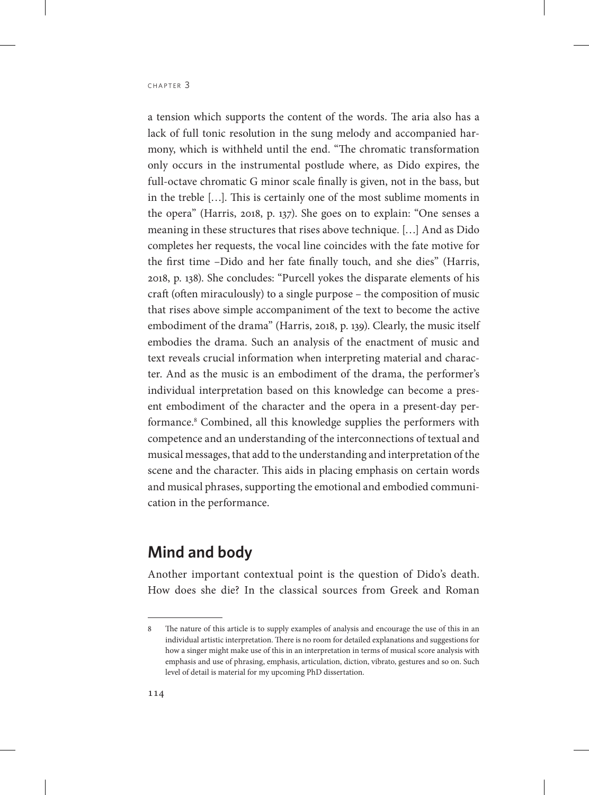a tension which supports the content of the words. The aria also has a lack of full tonic resolution in the sung melody and accompanied harmony, which is withheld until the end. "The chromatic transformation only occurs in the instrumental postlude where, as Dido expires, the full-octave chromatic G minor scale finally is given, not in the bass, but in the treble […]. This is certainly one of the most sublime moments in the opera" (Harris, 2018, p. 137). She goes on to explain: "One senses a meaning in these structures that rises above technique. […] And as Dido completes her requests, the vocal line coincides with the fate motive for the first time –Dido and her fate finally touch, and she dies" (Harris, 2018, p. 138). She concludes: "Purcell yokes the disparate elements of his craft (often miraculously) to a single purpose – the composition of music that rises above simple accompaniment of the text to become the active embodiment of the drama" (Harris, 2018, p. 139). Clearly, the music itself embodies the drama. Such an analysis of the enactment of music and text reveals crucial information when interpreting material and character. And as the music is an embodiment of the drama, the performer's individual interpretation based on this knowledge can become a present embodiment of the character and the opera in a present-day performance.8 Combined, all this knowledge supplies the performers with competence and an understanding of the interconnections of textual and musical messages, that add to the understanding and interpretation of the scene and the character. This aids in placing emphasis on certain words and musical phrases, supporting the emotional and embodied communication in the performance.

#### **Mind and body**

Another important contextual point is the question of Dido's death. How does she die? In the classical sources from Greek and Roman

<sup>8</sup> The nature of this article is to supply examples of analysis and encourage the use of this in an individual artistic interpretation. There is no room for detailed explanations and suggestions for how a singer might make use of this in an interpretation in terms of musical score analysis with emphasis and use of phrasing, emphasis, articulation, diction, vibrato, gestures and so on. Such level of detail is material for my upcoming PhD dissertation.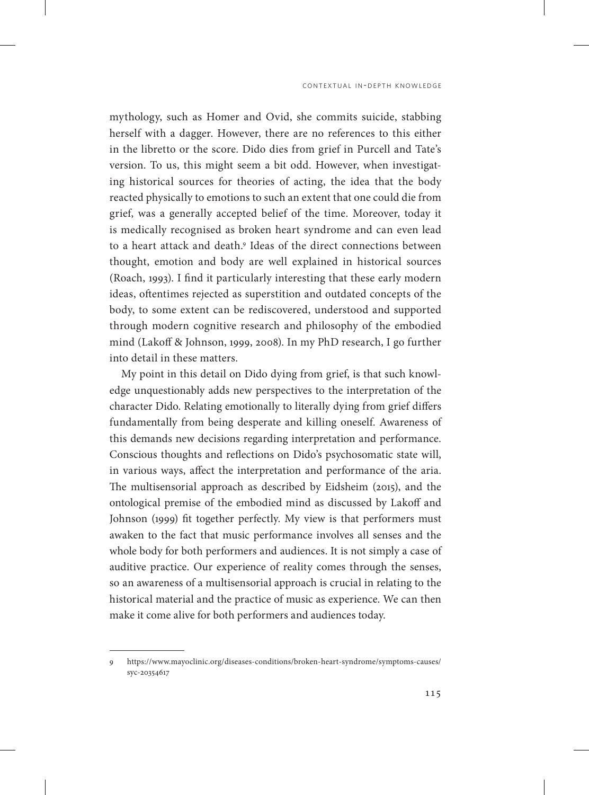mythology, such as Homer and Ovid, she commits suicide, stabbing herself with a dagger. However, there are no references to this either in the libretto or the score. Dido dies from grief in Purcell and Tate's version. To us, this might seem a bit odd. However, when investigating historical sources for theories of acting, the idea that the body reacted physically to emotions to such an extent that one could die from grief, was a generally accepted belief of the time. Moreover, today it is medically recognised as broken heart syndrome and can even lead to a heart attack and death.9 Ideas of the direct connections between thought, emotion and body are well explained in historical sources (Roach, 1993). I find it particularly interesting that these early modern ideas, oftentimes rejected as superstition and outdated concepts of the body, to some extent can be rediscovered, understood and supported through modern cognitive research and philosophy of the embodied mind (Lakoff & Johnson, 1999, 2008). In my PhD research, I go further into detail in these matters.

My point in this detail on Dido dying from grief, is that such knowledge unquestionably adds new perspectives to the interpretation of the character Dido. Relating emotionally to literally dying from grief differs fundamentally from being desperate and killing oneself. Awareness of this demands new decisions regarding interpretation and performance. Conscious thoughts and reflections on Dido's psychosomatic state will, in various ways, affect the interpretation and performance of the aria. The multisensorial approach as described by Eidsheim (2015), and the ontological premise of the embodied mind as discussed by Lakoff and Johnson (1999) fit together perfectly. My view is that performers must awaken to the fact that music performance involves all senses and the whole body for both performers and audiences. It is not simply a case of auditive practice. Our experience of reality comes through the senses, so an awareness of a multisensorial approach is crucial in relating to the historical material and the practice of music as experience. We can then make it come alive for both performers and audiences today.

<sup>9</sup> [https://www.mayoclinic.org/diseases-conditions/broken-heart-syndrome/symptoms-causes/](https://www.mayoclinic.org/diseases-conditions/broken-heart-syndrome/symptoms-causes/syc-20354617) [syc-20354617](https://www.mayoclinic.org/diseases-conditions/broken-heart-syndrome/symptoms-causes/syc-20354617)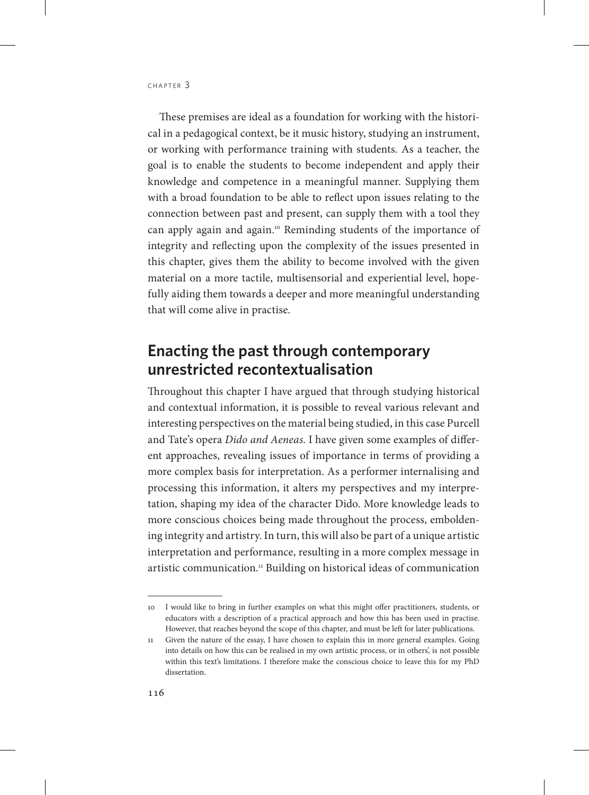These premises are ideal as a foundation for working with the historical in a pedagogical context, be it music history, studying an instrument, or working with performance training with students. As a teacher, the goal is to enable the students to become independent and apply their knowledge and competence in a meaningful manner. Supplying them with a broad foundation to be able to reflect upon issues relating to the connection between past and present, can supply them with a tool they can apply again and again.10 Reminding students of the importance of integrity and reflecting upon the complexity of the issues presented in this chapter, gives them the ability to become involved with the given material on a more tactile, multisensorial and experiential level, hopefully aiding them towards a deeper and more meaningful understanding that will come alive in practise.

## **Enacting the past through contemporary unrestricted recontextualisation**

Throughout this chapter I have argued that through studying historical and contextual information, it is possible to reveal various relevant and interesting perspectives on the material being studied, in this case Purcell and Tate's opera *Dido and Aeneas*. I have given some examples of different approaches, revealing issues of importance in terms of providing a more complex basis for interpretation. As a performer internalising and processing this information, it alters my perspectives and my interpretation, shaping my idea of the character Dido. More knowledge leads to more conscious choices being made throughout the process, emboldening integrity and artistry. In turn, this will also be part of a unique artistic interpretation and performance, resulting in a more complex message in artistic communication.<sup>11</sup> Building on historical ideas of communication

<sup>10</sup> I would like to bring in further examples on what this might offer practitioners, students, or educators with a description of a practical approach and how this has been used in practise. However, that reaches beyond the scope of this chapter, and must be left for later publications.

<sup>11</sup> Given the nature of the essay, I have chosen to explain this in more general examples. Going into details on how this can be realised in my own artistic process, or in others', is not possible within this text's limitations. I therefore make the conscious choice to leave this for my PhD dissertation.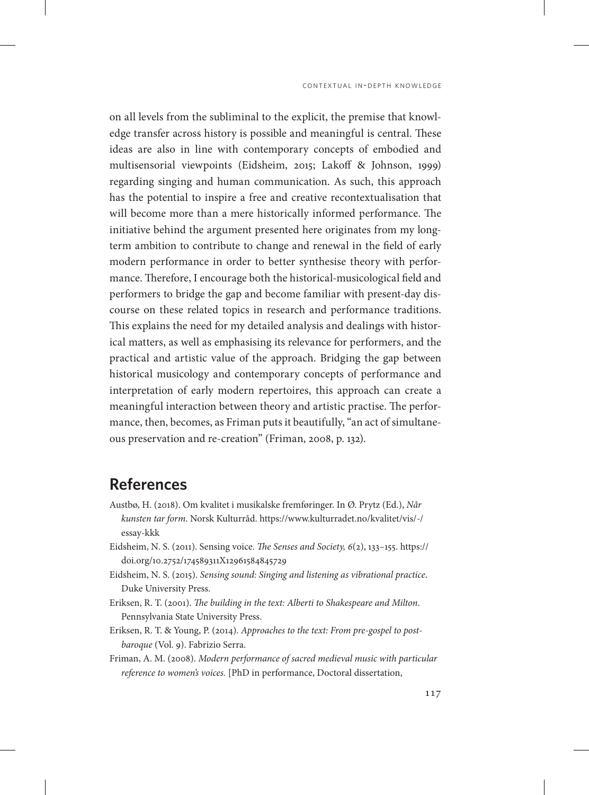on all levels from the subliminal to the explicit, the premise that knowledge transfer across history is possible and meaningful is central. These ideas are also in line with contemporary concepts of embodied and multisensorial viewpoints (Eidsheim, 2015; Lakoff & Johnson, 1999) regarding singing and human communication. As such, this approach has the potential to inspire a free and creative recontextualisation that will become more than a mere historically informed performance. The initiative behind the argument presented here originates from my longterm ambition to contribute to change and renewal in the field of early modern performance in order to better synthesise theory with performance. Therefore, I encourage both the historical-musicological field and performers to bridge the gap and become familiar with present-day discourse on these related topics in research and performance traditions. This explains the need for my detailed analysis and dealings with historical matters, as well as emphasising its relevance for performers, and the practical and artistic value of the approach. Bridging the gap between historical musicology and contemporary concepts of performance and interpretation of early modern repertoires, this approach can create a meaningful interaction between theory and artistic practise. The performance, then, becomes, as Friman puts it beautifully, "an act of simultaneous preservation and re-creation" (Friman, 2008, p. 132).

## **References**

- Austbø, H. (2018). Om kvalitet i musikalske fremføringer. In Ø. Prytz (Ed.), *Når kunsten tar form*. Norsk Kulturråd. [https://www.kulturradet.no/kvalitet/vis/-/](https://www.kulturradet.no/kvalitet/vis/-/essay-kkk) [essay-kkk](https://www.kulturradet.no/kvalitet/vis/-/essay-kkk)
- Eidsheim, N. S. (2011). Sensing voice. *The Senses and Society, 6*(2), 133–155. [https://](https://doi.org/10.2752/174589311X12961584845729) [doi.org/10.2752/174589311X12961584845729](https://doi.org/10.2752/174589311X12961584845729)
- Eidsheim, N. S. (2015). *Sensing sound: Singing and listening as vibrational practice*. Duke University Press.
- Eriksen, R. T. (2001). *The building in the text: Alberti to Shakespeare and Milton*. Pennsylvania State University Press.
- Eriksen, R. T. & Young, P. (2014). *Approaches to the text: From pre-gospel to postbaroque* (Vol. 9). Fabrizio Serra.
- Friman, A. M. (2008). *Modern performance of sacred medieval music with particular reference to women's voices.* [PhD in performance, Doctoral dissertation,